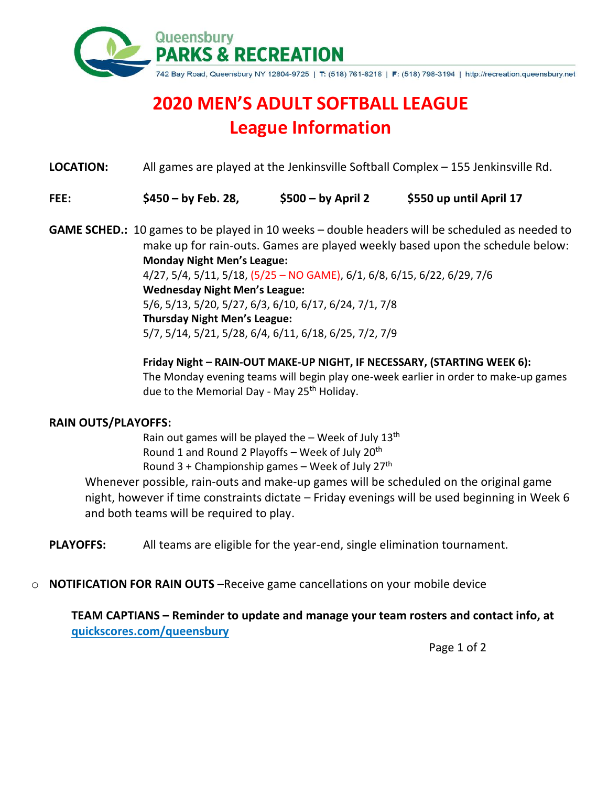

## **2020 MEN'S ADULT SOFTBALL LEAGUE League Information**

**LOCATION:** All games are played at the Jenkinsville Softball Complex – 155 Jenkinsville Rd.

**FEE: \$450 – by Feb. 28, \$500 – by April 2 \$550 up until April 17**

**GAME SCHED.:** 10 games to be played in 10 weeks – double headers will be scheduled as needed to make up for rain-outs. Games are played weekly based upon the schedule below: **Monday Night Men's League:** 4/27, 5/4, 5/11, 5/18, (5/25 – NO GAME), 6/1, 6/8, 6/15, 6/22, 6/29, 7/6 **Wednesday Night Men's League:** 5/6, 5/13, 5/20, 5/27, 6/3, 6/10, 6/17, 6/24, 7/1, 7/8 **Thursday Night Men's League:**

5/7, 5/14, 5/21, 5/28, 6/4, 6/11, 6/18, 6/25, 7/2, 7/9

**Friday Night – RAIN-OUT MAKE-UP NIGHT, IF NECESSARY, (STARTING WEEK 6):** The Monday evening teams will begin play one-week earlier in order to make-up games due to the Memorial Day - May 25<sup>th</sup> Holiday.

## **RAIN OUTS/PLAYOFFS:**

Rain out games will be played the - Week of July 13<sup>th</sup> Round 1 and Round 2 Playoffs – Week of July 20<sup>th</sup> Round 3 + Championship games - Week of July 27<sup>th</sup>

Whenever possible, rain-outs and make-up games will be scheduled on the original game night, however if time constraints dictate – Friday evenings will be used beginning in Week 6 and both teams will be required to play.

**PLAYOFFS:** All teams are eligible for the year-end, single elimination tournament.

o **NOTIFICATION FOR RAIN OUTS** –Receive game cancellations on your mobile device

**TEAM CAPTIANS – Reminder to update and manage your team rosters and contact info, at quickscores.com/queensbury** 

Page 1 of 2